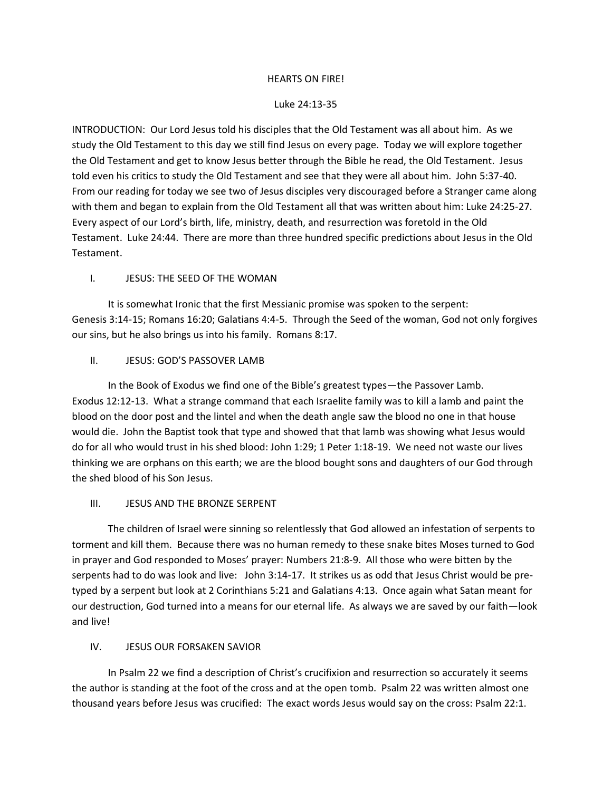#### HEARTS ON FIRE!

#### Luke 24:13-35

INTRODUCTION: Our Lord Jesus told his disciples that the Old Testament was all about him. As we study the Old Testament to this day we still find Jesus on every page. Today we will explore together the Old Testament and get to know Jesus better through the Bible he read, the Old Testament. Jesus told even his critics to study the Old Testament and see that they were all about him. John 5:37-40. From our reading for today we see two of Jesus disciples very discouraged before a Stranger came along with them and began to explain from the Old Testament all that was written about him: Luke 24:25-27. Every aspect of our Lord's birth, life, ministry, death, and resurrection was foretold in the Old Testament. Luke 24:44. There are more than three hundred specific predictions about Jesus in the Old Testament.

## I. JESUS: THE SEED OF THE WOMAN

It is somewhat Ironic that the first Messianic promise was spoken to the serpent: Genesis 3:14-15; Romans 16:20; Galatians 4:4-5. Through the Seed of the woman, God not only forgives our sins, but he also brings us into his family. Romans 8:17.

#### II. JESUS: GOD'S PASSOVER LAMB

In the Book of Exodus we find one of the Bible's greatest types—the Passover Lamb. Exodus 12:12-13. What a strange command that each Israelite family was to kill a lamb and paint the blood on the door post and the lintel and when the death angle saw the blood no one in that house would die. John the Baptist took that type and showed that that lamb was showing what Jesus would do for all who would trust in his shed blood: John 1:29; 1 Peter 1:18-19. We need not waste our lives thinking we are orphans on this earth; we are the blood bought sons and daughters of our God through the shed blood of his Son Jesus.

#### III. JESUS AND THE BRONZE SERPENT

The children of Israel were sinning so relentlessly that God allowed an infestation of serpents to torment and kill them. Because there was no human remedy to these snake bites Moses turned to God in prayer and God responded to Moses' prayer: Numbers 21:8-9. All those who were bitten by the serpents had to do was look and live: John 3:14-17. It strikes us as odd that Jesus Christ would be pretyped by a serpent but look at 2 Corinthians 5:21 and Galatians 4:13. Once again what Satan meant for our destruction, God turned into a means for our eternal life. As always we are saved by our faith—look and live!

## IV. JESUS OUR FORSAKEN SAVIOR

In Psalm 22 we find a description of Christ's crucifixion and resurrection so accurately it seems the author is standing at the foot of the cross and at the open tomb. Psalm 22 was written almost one thousand years before Jesus was crucified: The exact words Jesus would say on the cross: Psalm 22:1.